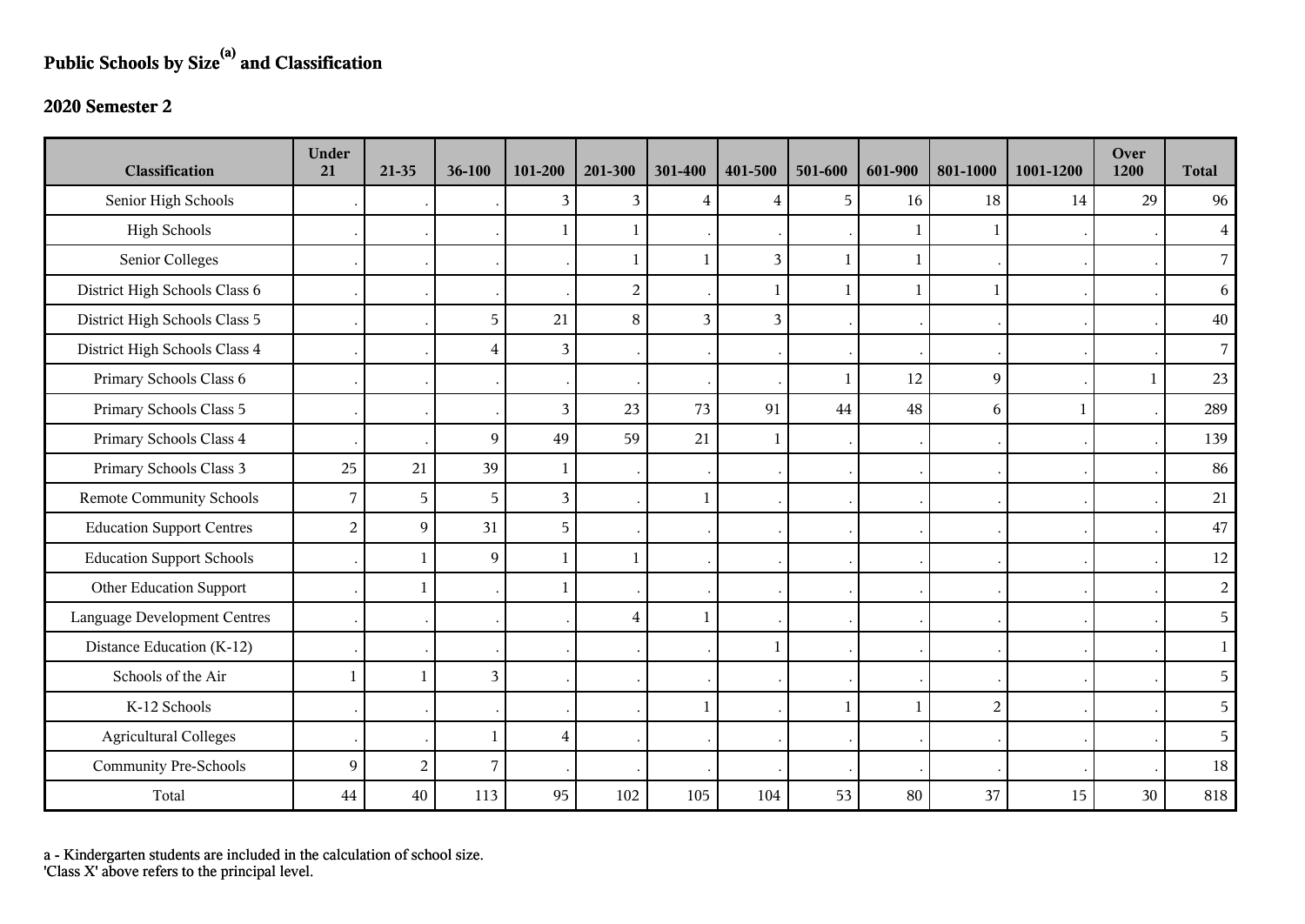## **Public Schools by Size(a) and Classification**

## **2020 Semester 2**

| <b>Classification</b>               | <b>Under</b><br>21 | 21-35          | 36-100         | 101-200        | 201-300        | 301-400        | 401-500 | 501-600      | 601-900      | 801-1000       | 1001-1200 | Over<br>1200 | <b>Total</b>   |
|-------------------------------------|--------------------|----------------|----------------|----------------|----------------|----------------|---------|--------------|--------------|----------------|-----------|--------------|----------------|
| Senior High Schools                 |                    |                |                | 3              | $\overline{3}$ | $\overline{4}$ | 4       | 5            | 16           | 18             | 14        | 29           | 96             |
| <b>High Schools</b>                 |                    |                |                |                | 1              |                |         |              |              | 1              |           |              | $\overline{4}$ |
| Senior Colleges                     |                    |                |                |                | 1              | $\mathbf{1}$   | 3       | $\mathbf{1}$ | $\mathbf{1}$ |                |           |              | $\overline{7}$ |
| District High Schools Class 6       |                    |                |                |                | $\overline{2}$ |                | 1       | $\mathbf{1}$ |              | $\mathbf{1}$   |           |              | 6              |
| District High Schools Class 5       |                    |                | $\overline{5}$ | 21             | 8              | 3              | 3       |              |              |                |           |              | $40\,$         |
| District High Schools Class 4       |                    |                | $\overline{4}$ | 3              |                |                |         |              |              |                |           |              | $\overline{7}$ |
| Primary Schools Class 6             |                    |                |                |                |                |                |         | $\mathbf{1}$ | 12           | 9              |           | -1           | 23             |
| Primary Schools Class 5             |                    |                |                | 3              | 23             | 73             | 91      | 44           | 48           | 6              | 1         |              | 289            |
| Primary Schools Class 4             |                    |                | 9              | 49             | 59             | 21             | 1       |              |              |                |           |              | 139            |
| Primary Schools Class 3             | 25                 | 21             | 39             | $\mathbf{1}$   |                |                |         |              |              |                |           |              | 86             |
| <b>Remote Community Schools</b>     | 7                  | 5              | 5              | $\overline{3}$ |                | $\mathbf{1}$   |         |              |              |                |           |              | 21             |
| <b>Education Support Centres</b>    | $\overline{2}$     | 9              | 31             | 5              |                |                |         |              |              |                |           |              | 47             |
| <b>Education Support Schools</b>    |                    | $\mathbf{1}$   | 9              | -1             | 1              |                |         |              |              |                |           |              | 12             |
| Other Education Support             |                    | 1              |                |                |                |                |         |              |              |                |           |              | $\overline{a}$ |
| <b>Language Development Centres</b> |                    |                |                |                | 4              |                |         |              |              |                |           |              | 5              |
| Distance Education (K-12)           |                    |                |                |                |                |                | 1       |              |              |                |           |              | $\mathbf{1}$   |
| Schools of the Air                  | -1                 | $\mathbf{1}$   | $\mathfrak{Z}$ |                |                |                |         |              |              |                |           |              | 5              |
| K-12 Schools                        |                    |                |                |                |                |                |         | $\mathbf{1}$ |              | $\overline{a}$ |           |              | 5              |
| <b>Agricultural Colleges</b>        |                    |                | 1              | $\overline{4}$ |                |                |         |              |              |                |           |              | 5              |
| <b>Community Pre-Schools</b>        | 9                  | $\overline{c}$ | $\overline{7}$ |                |                |                |         |              |              |                |           |              | 18             |
| Total                               | 44                 | 40             | 113            | 95             | 102            | 105            | 104     | 53           | 80           | 37             | 15        | 30           | 818            |

a - Kindergarten students are included in the calculation of school size.

'Class X' above refers to the principal level.